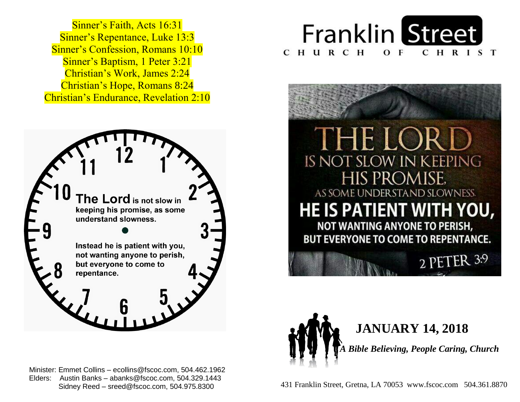Sinner's Repentance, Luke 13:3 **Sinner's Confession, Romans 10:10 Sinner's Baptism, 1 Peter 3:21**  Christian's Work, James 2:24  Christian's Hope, Romans 8:24  Christian's Endurance, Revelation 2:10 Sinner's Faith, Acts 16:31



 Minister: Emmet Collins – ecollins@fscoc.com, 504.462.1962  Elders: Austin Banks – abanks@fscoc.com, 504.329.1443 Sidney Reed – sreed@fscoc.com, 504.975.8300







 431 Franklin Street, Gretna, LA 70053 www.fscoc.com 504.361.8870